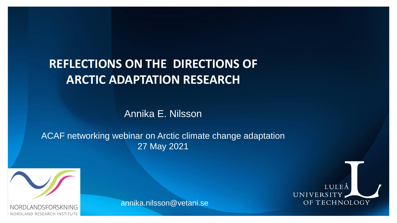## **REFLECTIONS ON THE DIRECTIONS OF ARCTIC ADAPTATION RESEARCH**

Annika E. Nilsson

ACAF networking webinar on Arctic climate change adaptation 27 May 2021



annika.nilsson@vetani.se



RESEARCH INSTITUTE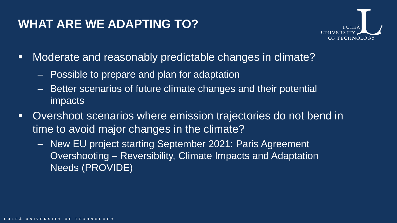#### **WHAT ARE WE ADAPTING TO?**



- Moderate and reasonably predictable changes in climate?
	- Possible to prepare and plan for adaptation
	- Better scenarios of future climate changes and their potential impacts
- Overshoot scenarios where emission trajectories do not bend in time to avoid major changes in the climate?
	- New EU project starting September 2021: Paris Agreement Overshooting – Reversibility, Climate Impacts and Adaptation Needs (PROVIDE)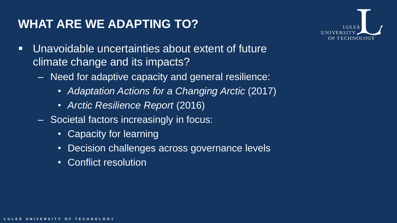## **WHAT ARE WE ADAPTING TO?**



- Unavoidable uncertainties about extent of future climate change and its impacts?
	- Need for adaptive capacity and general resilience:
		- *Adaptation Actions for a Changing Arctic* (2017)
		- *Arctic Resilience Report* (2016)
	- Societal factors increasingly in focus:
		- Capacity for learning
		- Decision challenges across governance levels
		- Conflict resolution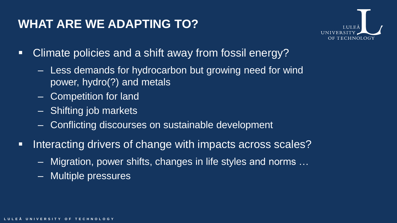### **WHAT ARE WE ADAPTING TO?**



- Climate policies and a shift away from fossil energy?
	- Less demands for hydrocarbon but growing need for wind power, hydro(?) and metals
	- Competition for land
	- Shifting job markets
	- Conflicting discourses on sustainable development
- **EXTE:** Interacting drivers of change with impacts across scales?
	- Migration, power shifts, changes in life styles and norms …
	- Multiple pressures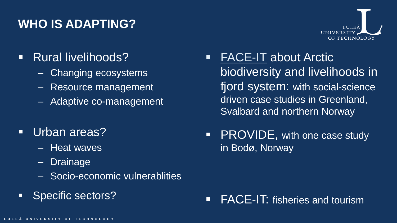# **WHO IS ADAPTING?**



- Rural livelihoods?
	- Changing ecosystems
	- Resource management
	- Adaptive co-management
- Urban areas?
	- Heat waves
	- Drainage
	- Socio-economic vulnerablities
- Specific sectors?
- **[FACE-IT](https://www.face-it-project.eu/) about Arctic** biodiversity and livelihoods in fjord system: with social-science driven case studies in Greenland, Svalbard and northern Norway
- PROVIDE, with one case study in Bodø, Norway

### **FACE-IT:** fisheries and tourism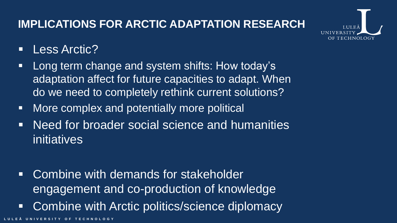### **IMPLICATIONS FOR ARCTIC ADAPTATION RESEARCH**



- Less Arctic?
- **EXA)** Long term change and system shifts: How today's adaptation affect for future capacities to adapt. When do we need to completely rethink current solutions?
- More complex and potentially more political
- Need for broader social science and humanities initiatives
- Combine with demands for stakeholder engagement and co-production of knowledge
- **EXECOMBINE With Arctic politics/science diplomacy**

**ERSITY OF TECHNOLOGY**